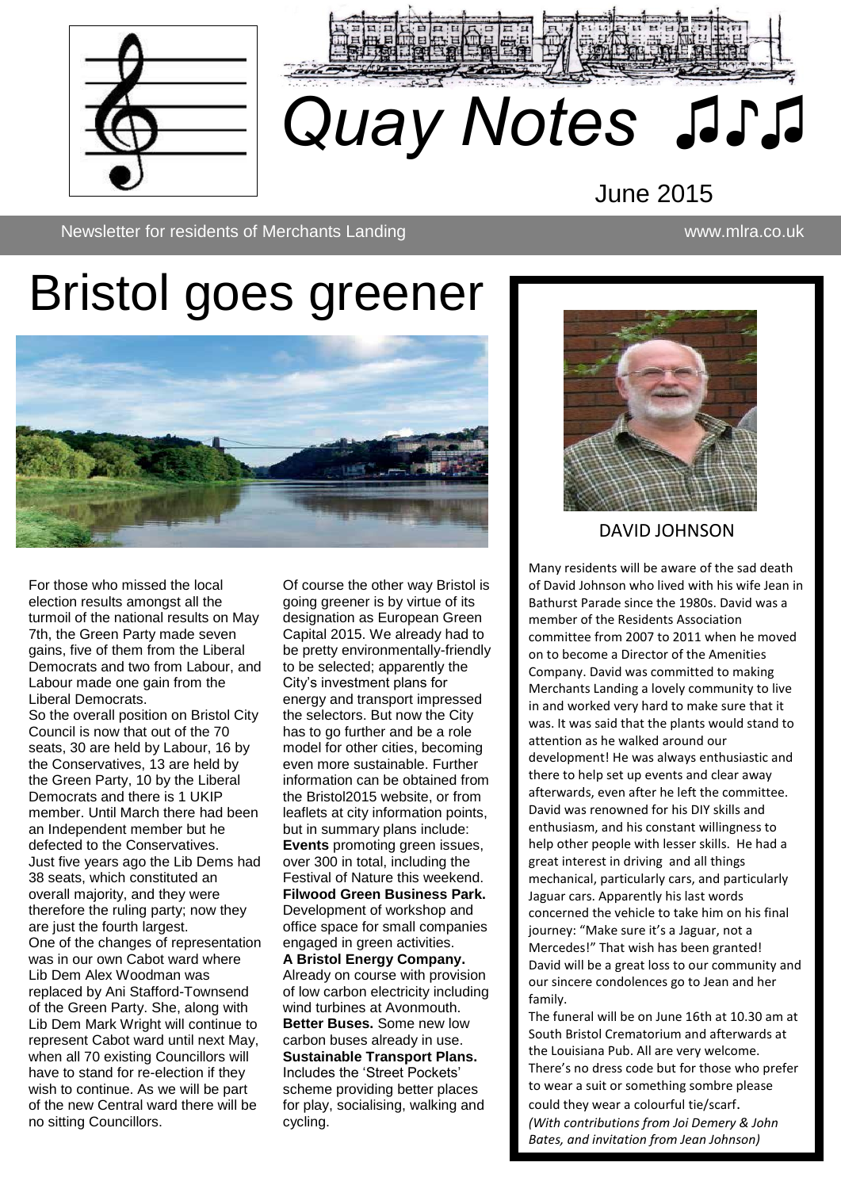



## June 2015

Newsletter Newsletter for residents of Merchants Landing www.mlra.co.uk

# Bristol goes greener



For those who missed the local election results amongst all the turmoil of the national results on May 7th, the Green Party made seven gains, five of them from the Liberal Democrats and two from Labour, and Labour made one gain from the Liberal Democrats.

So the overall position on Bristol City Council is now that out of the 70 seats, 30 are held by Labour, 16 by the Conservatives, 13 are held by the Green Party, 10 by the Liberal Democrats and there is 1 UKIP member. Until March there had been an Independent member but he defected to the Conservatives. Just five years ago the Lib Dems had 38 seats, which constituted an overall majority, and they were therefore the ruling party; now they are just the fourth largest. One of the changes of representation was in our own Cabot ward where Lib Dem Alex Woodman was replaced by Ani Stafford-Townsend of the Green Party. She, along with Lib Dem Mark Wright will continue to represent Cabot ward until next May, when all 70 existing Councillors will have to stand for re-election if they wish to continue. As we will be part of the new Central ward there will be no sitting Councillors.

Of course the other way Bristol is going greener is by virtue of its designation as European Green Capital 2015. We already had to be pretty environmentally-friendly to be selected; apparently the City's investment plans for energy and transport impressed the selectors. But now the City has to go further and be a role model for other cities, becoming even more sustainable. Further information can be obtained from the Bristol2015 website, or from leaflets at city information points, but in summary plans include: **Events** promoting green issues, over 300 in total, including the Festival of Nature this weekend. **Filwood Green Business Park.** Development of workshop and office space for small companies engaged in green activities. **A Bristol Energy Company.** Already on course with provision of low carbon electricity including wind turbines at Avonmouth. **Better Buses.** Some new low

carbon buses already in use. **Sustainable Transport Plans.** Includes the 'Street Pockets' scheme providing better places for play, socialising, walking and cycling.



DAVID JOHNSON

Many residents will be aware of the sad death of David Johnson who lived with his wife Jean in Bathurst Parade since the 1980s. David was a member of the Residents Association committee from 2007 to 2011 when he moved on to become a Director of the Amenities Company. David was committed to making Merchants Landing a lovely community to live in and worked very hard to make sure that it was. It was said that the plants would stand to attention as he walked around our development! He was always enthusiastic and there to help set up events and clear away afterwards, even after he left the committee. David was renowned for his DIY skills and enthusiasm, and his constant willingness to help other people with lesser skills. He had a great interest in driving and all things mechanical, particularly cars, and particularly Jaguar cars. Apparently his last words concerned the vehicle to take him on his final journey: "Make sure it's a Jaguar, not a Mercedes!" That wish has been granted! David will be a great loss to our community and our sincere condolences go to Jean and her family.

The funeral will be on June 16th at 10.30 am at South Bristol Crematorium and afterwards at the Louisiana Pub. All are very welcome. There's no dress code but for those who prefer to wear a suit or something sombre please could they wear a colourful tie/scarf. *(With contributions from Joi Demery & John Bates, and invitation from Jean Johnson)*